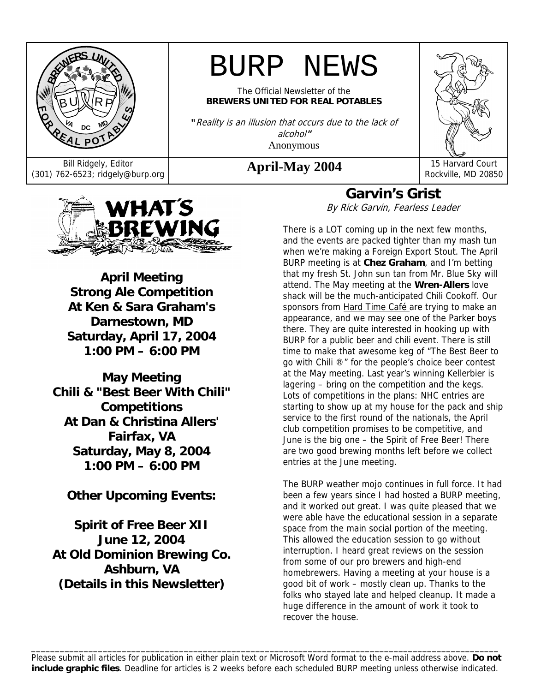

# BURP NEWS

The Official Newsletter of the **BREWERS UNITED FOR REAL POTABLES**

**"**Reality is an illusion that occurs due to the lack of alcohol**"**  Anonymous

Bill Ridgely, Editor **April-May 2004** 15 Harvard Court (301) 762-6523; ridgely@burp.org **April-May 2004** 15 Harvard Court



Rockville, MD 20850



**April Meeting Strong Ale Competition At Ken & Sara Graham's Darnestown, MD Saturday, April 17, 2004 1:00 PM – 6:00 PM** 

**May Meeting Chili & "Best Beer With Chili" Competitions At Dan & Christina Allers' Fairfax, VA Saturday, May 8, 2004 1:00 PM – 6:00 PM** 

**Other Upcoming Events:** 

**Spirit of Free Beer XII June 12, 2004 At Old Dominion Brewing Co. Ashburn, VA (Details in this Newsletter)** 

**Garvin's Grist**  By Rick Garvin, Fearless Leader

There is a LOT coming up in the next few months, and the events are packed tighter than my mash tun when we're making a Foreign Export Stout. The April BURP meeting is at **Chez Graham**, and I'm betting that my fresh St. John sun tan from Mr. Blue Sky will attend. The May meeting at the **Wren-Allers** love shack will be the much-anticipated Chili Cookoff. Our sponsors from Hard Time Café are trying to make an appearance, and we may see one of the Parker boys there. They are quite interested in hooking up with BURP for a public beer and chili event. There is still time to make that awesome keg of "The Best Beer to go with Chili ®" for the people's choice beer contest at the May meeting. Last year's winning Kellerbier is lagering – bring on the competition and the kegs. Lots of competitions in the plans: NHC entries are starting to show up at my house for the pack and ship service to the first round of the nationals, the April club competition promises to be competitive, and June is the big one – the Spirit of Free Beer! There are two good brewing months left before we collect entries at the June meeting.

The BURP weather mojo continues in full force. It had been a few years since I had hosted a BURP meeting, and it worked out great. I was quite pleased that we were able have the educational session in a separate space from the main social portion of the meeting. This allowed the education session to go without interruption. I heard great reviews on the session from some of our pro brewers and high-end homebrewers. Having a meeting at your house is a good bit of work – mostly clean up. Thanks to the folks who stayed late and helped cleanup. It made a huge difference in the amount of work it took to recover the house.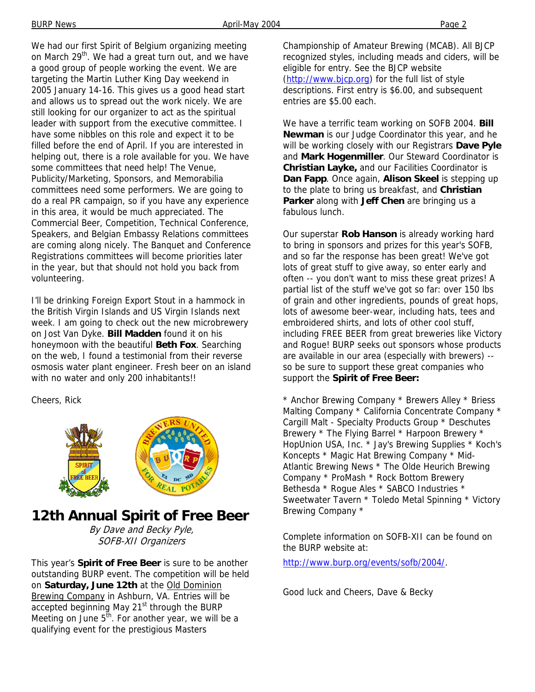We had our first Spirit of Belgium organizing meeting on March 29<sup>th</sup>. We had a great turn out, and we have a good group of people working the event. We are targeting the Martin Luther King Day weekend in 2005 January 14-16. This gives us a good head start and allows us to spread out the work nicely. We are still looking for our organizer to act as the spiritual leader with support from the executive committee. I have some nibbles on this role and expect it to be filled before the end of April. If you are interested in helping out, there is a role available for you. We have some committees that need help! The Venue, Publicity/Marketing, Sponsors, and Memorabilia committees need some performers. We are going to do a real PR campaign, so if you have any experience in this area, it would be much appreciated. The Commercial Beer, Competition, Technical Conference, Speakers, and Belgian Embassy Relations committees are coming along nicely. The Banquet and Conference Registrations committees will become priorities later in the year, but that should not hold you back from volunteering.

I'll be drinking Foreign Export Stout in a hammock in the British Virgin Islands and US Virgin Islands next week. I am going to check out the new microbrewery on Jost Van Dyke. **Bill Madden** found it on his honeymoon with the beautiful **Beth Fox**. Searching on the web, I found a testimonial from their reverse osmosis water plant engineer. Fresh beer on an island with no water and only 200 inhabitants!!

Cheers, Rick



### **12th Annual Spirit of Free Beer**

By Dave and Becky Pyle, SOFB-XII Organizers

This year's **Spirit of Free Beer** is sure to be another outstanding BURP event. The competition will be held on **Saturday, June 12th** at the Old Dominion Brewing Company in Ashburn, VA. Entries will be accepted beginning May 21<sup>st</sup> through the BURP Meeting on June  $5<sup>th</sup>$ . For another year, we will be a qualifying event for the prestigious Masters

Championship of Amateur Brewing (MCAB). All BJCP recognized styles, including meads and ciders, will be eligible for entry. See the BJCP website (http://www.bjcp.org) for the full list of style descriptions. First entry is \$6.00, and subsequent entries are \$5.00 each.

We have a terrific team working on SOFB 2004. **Bill Newman** is our Judge Coordinator this year, and he will be working closely with our Registrars **Dave Pyle** and **Mark Hogenmiller**. Our Steward Coordinator is **Christian Layke,** and our Facilities Coordinator is **Dan Fapp**. Once again, **Alison Skeel** is stepping up to the plate to bring us breakfast, and **Christian Parker** along with **Jeff Chen** are bringing us a fabulous lunch.

Our superstar **Rob Hanson** is already working hard to bring in sponsors and prizes for this year's SOFB, and so far the response has been great! We've got lots of great stuff to give away, so enter early and often -- you don't want to miss these great prizes! A partial list of the stuff we've got so far: over 150 lbs of grain and other ingredients, pounds of great hops, lots of awesome beer-wear, including hats, tees and embroidered shirts, and lots of other cool stuff, including FREE BEER from great breweries like Victory and Rogue! BURP seeks out sponsors whose products are available in our area (especially with brewers) - so be sure to support these great companies who support the **Spirit of Free Beer:**

\* Anchor Brewing Company \* Brewers Alley \* Briess Malting Company \* California Concentrate Company \* Cargill Malt - Specialty Products Group \* Deschutes Brewery \* The Flying Barrel \* Harpoon Brewery \* HopUnion USA, Inc. \* Jay's Brewing Supplies \* Koch's Koncepts \* Magic Hat Brewing Company \* Mid-Atlantic Brewing News \* The Olde Heurich Brewing Company \* ProMash \* Rock Bottom Brewery Bethesda \* Rogue Ales \* SABCO Industries \* Sweetwater Tavern \* Toledo Metal Spinning \* Victory Brewing Company \*

Complete information on SOFB-XII can be found on the BURP website at:

http://www.burp.org/events/sofb/2004/.

Good luck and Cheers, Dave & Becky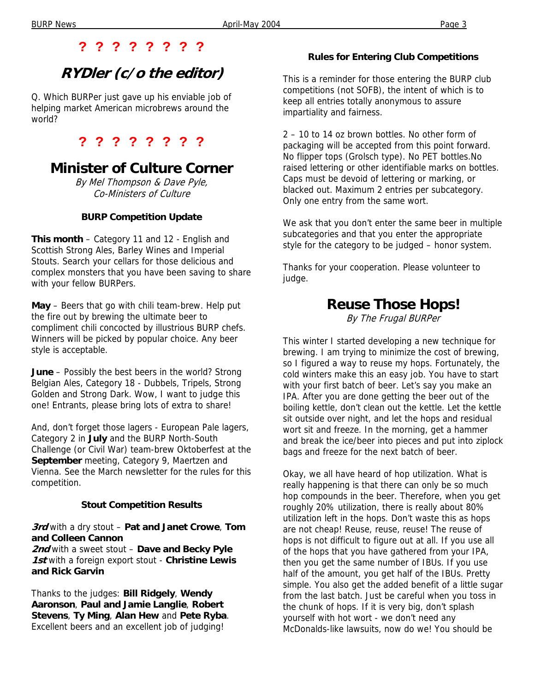#### **? ? ? ? ? ? ? ?**

### **RYDler (c/o the editor)**

Q. Which BURPer just gave up his enviable job of helping market American microbrews around the world?

**? ? ? ? ? ? ? ?** 

### **Minister of Culture Corner**

By Mel Thompson & Dave Pyle, Co-Ministers of Culture

#### **BURP Competition Update**

**This month** – Category 11 and 12 - English and Scottish Strong Ales, Barley Wines and Imperial Stouts. Search your cellars for those delicious and complex monsters that you have been saving to share with your fellow BURPers.

**May** – Beers that go with chili team-brew. Help put the fire out by brewing the ultimate beer to compliment chili concocted by illustrious BURP chefs. Winners will be picked by popular choice. Any beer style is acceptable.

**June** – Possibly the best beers in the world? Strong Belgian Ales, Category 18 - Dubbels, Tripels, Strong Golden and Strong Dark. Wow, I want to judge this one! Entrants, please bring lots of extra to share!

And, don't forget those lagers - European Pale lagers, Category 2 in **July** and the BURP North-South Challenge (or Civil War) team-brew Oktoberfest at the **September** meeting, Category 9, Maertzen and Vienna. See the March newsletter for the rules for this competition.

#### **Stout Competition Results**

**3rd** with a dry stout – **Pat and Janet Crowe**, **Tom and Colleen Cannon**

**2nd** with a sweet stout – **Dave and Becky Pyle 1st** with a foreign export stout - **Christine Lewis and Rick Garvin**

Thanks to the judges: **Bill Ridgely**, **Wendy Aaronson**, **Paul and Jamie Langlie**, **Robert Stevens**, **Ty Ming**, **Alan Hew** and **Pete Ryba**. Excellent beers and an excellent job of judging!

#### **Rules for Entering Club Competitions**

This is a reminder for those entering the BURP club competitions (not SOFB), the intent of which is to keep all entries totally anonymous to assure impartiality and fairness.

2 – 10 to 14 oz brown bottles. No other form of packaging will be accepted from this point forward. No flipper tops (Grolsch type). No PET bottles.No raised lettering or other identifiable marks on bottles. Caps must be devoid of lettering or marking, or blacked out. Maximum 2 entries per subcategory. Only one entry from the same wort.

We ask that you don't enter the same beer in multiple subcategories and that you enter the appropriate style for the category to be judged – honor system.

Thanks for your cooperation. Please volunteer to judge.

### **Reuse Those Hops!**

By The Frugal BURPer

This winter I started developing a new technique for brewing. I am trying to minimize the cost of brewing, so I figured a way to reuse my hops. Fortunately, the cold winters make this an easy job. You have to start with your first batch of beer. Let's say you make an IPA. After you are done getting the beer out of the boiling kettle, don't clean out the kettle. Let the kettle sit outside over night, and let the hops and residual wort sit and freeze. In the morning, get a hammer and break the ice/beer into pieces and put into ziplock bags and freeze for the next batch of beer.

Okay, we all have heard of hop utilization. What is really happening is that there can only be so much hop compounds in the beer. Therefore, when you get roughly 20% utilization, there is really about 80% utilization left in the hops. Don't waste this as hops are not cheap! Reuse, reuse, reuse! The reuse of hops is not difficult to figure out at all. If you use all of the hops that you have gathered from your IPA, then you get the same number of IBUs. If you use half of the amount, you get half of the IBUs. Pretty simple. You also get the added benefit of a little sugar from the last batch. Just be careful when you toss in the chunk of hops. If it is very big, don't splash yourself with hot wort - we don't need any McDonalds-like lawsuits, now do we! You should be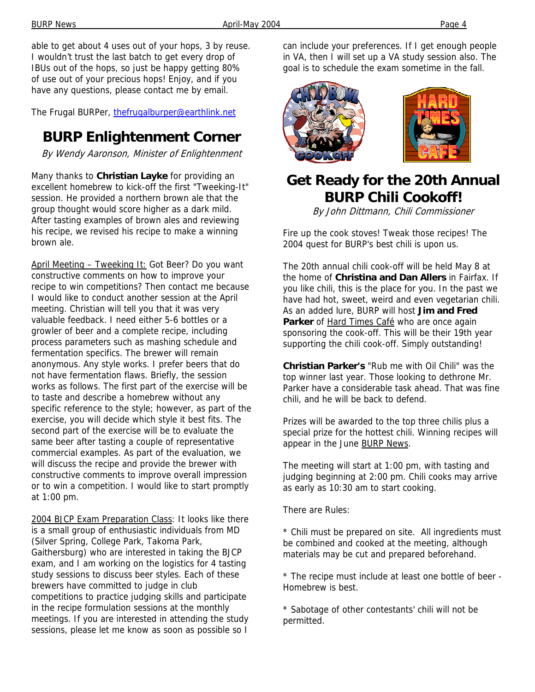able to get about 4 uses out of your hops, 3 by reuse. I wouldn't trust the last batch to get every drop of IBUs out of the hops, so just be happy getting 80% of use out of your precious hops! Enjoy, and if you have any questions, please contact me by email.

The Frugal BURPer, thefrugalburper@earthlink.net

### **BURP Enlightenment Corner**

By Wendy Aaronson, Minister of Enlightenment

Many thanks to **Christian Layke** for providing an excellent homebrew to kick-off the first "Tweeking-It" session. He provided a northern brown ale that the group thought would score higher as a dark mild. After tasting examples of brown ales and reviewing his recipe, we revised his recipe to make a winning brown ale.

April Meeting – Tweeking It: Got Beer? Do you want constructive comments on how to improve your recipe to win competitions? Then contact me because I would like to conduct another session at the April meeting. Christian will tell you that it was very valuable feedback. I need either 5-6 bottles or a growler of beer and a complete recipe, including process parameters such as mashing schedule and fermentation specifics. The brewer will remain anonymous. Any style works. I prefer beers that do not have fermentation flaws. Briefly, the session works as follows. The first part of the exercise will be to taste and describe a homebrew without any specific reference to the style; however, as part of the exercise, you will decide which style it best fits. The second part of the exercise will be to evaluate the same beer after tasting a couple of representative commercial examples. As part of the evaluation, we will discuss the recipe and provide the brewer with constructive comments to improve overall impression or to win a competition. I would like to start promptly at 1:00 pm.

2004 BJCP Exam Preparation Class: It looks like there is a small group of enthusiastic individuals from MD (Silver Spring, College Park, Takoma Park, Gaithersburg) who are interested in taking the BJCP exam, and I am working on the logistics for 4 tasting study sessions to discuss beer styles. Each of these brewers have committed to judge in club competitions to practice judging skills and participate in the recipe formulation sessions at the monthly meetings. If you are interested in attending the study sessions, please let me know as soon as possible so I

can include your preferences. If I get enough people in VA, then I will set up a VA study session also. The goal is to schedule the exam sometime in the fall.



### **Get Ready for the 20th Annual BURP Chili Cookoff!**

By John Dittmann, Chili Commissioner

Fire up the cook stoves! Tweak those recipes! The 2004 quest for BURP's best chili is upon us.

The 20th annual chili cook-off will be held May 8 at the home of **Christina and Dan Allers** in Fairfax. If you like chili, this is the place for you. In the past we have had hot, sweet, weird and even vegetarian chili. As an added lure, BURP will host **Jim and Fred**  Parker of **Hard Times Café** who are once again sponsoring the cook-off. This will be their 19th year supporting the chili cook-off. Simply outstanding!

**Christian Parker's** "Rub me with Oil Chili" was the top winner last year. Those looking to dethrone Mr. Parker have a considerable task ahead. That was fine chili, and he will be back to defend.

Prizes will be awarded to the top three chilis plus a special prize for the hottest chili. Winning recipes will appear in the June BURP News.

The meeting will start at 1:00 pm, with tasting and judging beginning at 2:00 pm. Chili cooks may arrive as early as 10:30 am to start cooking.

There are Rules:

\* Chili must be prepared on site. All ingredients must be combined and cooked at the meeting, although materials may be cut and prepared beforehand.

\* The recipe must include at least one bottle of beer - Homebrew is best.

\* Sabotage of other contestants' chili will not be permitted.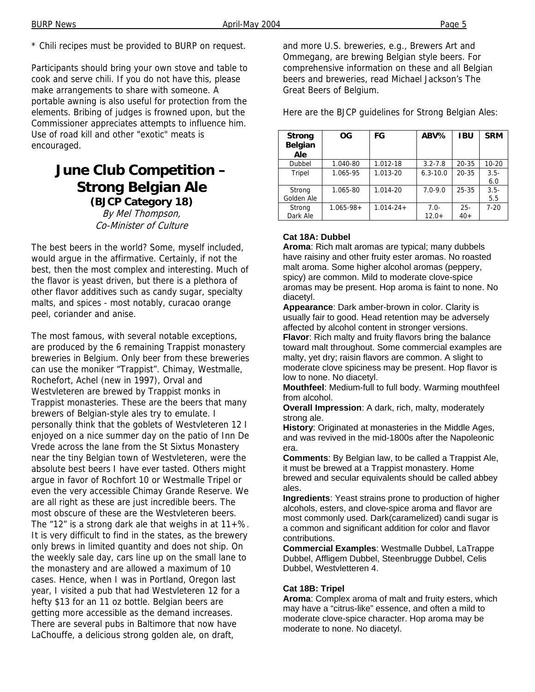\* Chili recipes must be provided to BURP on request.

Participants should bring your own stove and table to cook and serve chili. If you do not have this, please make arrangements to share with someone. A portable awning is also useful for protection from the elements. Bribing of judges is frowned upon, but the Commissioner appreciates attempts to influence him. Use of road kill and other "exotic" meats is encouraged.

### **June Club Competition – Strong Belgian Ale (BJCP Category 18)**

By Mel Thompson, Co-Minister of Culture

The best beers in the world? Some, myself included, would argue in the affirmative. Certainly, if not the best, then the most complex and interesting. Much of the flavor is yeast driven, but there is a plethora of other flavor additives such as candy sugar, specialty malts, and spices - most notably, curacao orange peel, coriander and anise.

The most famous, with several notable exceptions, are produced by the 6 remaining Trappist monastery breweries in Belgium. Only beer from these breweries can use the moniker "Trappist". Chimay, Westmalle, Rochefort, Achel (new in 1997), Orval and Westvleteren are brewed by Trappist monks in Trappist monasteries. These are the beers that many brewers of Belgian-style ales try to emulate. I personally think that the goblets of Westvleteren 12 I enjoyed on a nice summer day on the patio of Inn De Vrede across the lane from the St Sixtus Monastery near the tiny Belgian town of Westvleteren, were the absolute best beers I have ever tasted. Others might argue in favor of Rochfort 10 or Westmalle Tripel or even the very accessible Chimay Grande Reserve. We are all right as these are just incredible beers. The most obscure of these are the Westvleteren beers. The "12" is a strong dark ale that weighs in at  $11+$ %. It is very difficult to find in the states, as the brewery only brews in limited quantity and does not ship. On the weekly sale day, cars line up on the small lane to the monastery and are allowed a maximum of 10 cases. Hence, when I was in Portland, Oregon last year, I visited a pub that had Westvleteren 12 for a hefty \$13 for an 11 oz bottle. Belgian beers are getting more accessible as the demand increases. There are several pubs in Baltimore that now have LaChouffe, a delicious strong golden ale, on draft,

and more U.S. breweries, e.g., Brewers Art and Ommegang, are brewing Belgian style beers. For comprehensive information on these and all Belgian beers and breweries, read Michael Jackson's The Great Beers of Belgium.

Here are the BJCP guidelines for Strong Belgian Ales:

| <b>Strong</b><br>Belgian<br>Ale | OG             | FG             | ABV%              | <b>IBU</b>      | <b>SRM</b>     |
|---------------------------------|----------------|----------------|-------------------|-----------------|----------------|
| Dubbel                          | 1.040-80       | 1.012-18       | $3.2 - 7.8$       | $20 - 35$       | $10 - 20$      |
| Tripel                          | 1.065-95       | 1.013-20       | $6.3 - 10.0$      | $20 - 35$       | $3.5 -$<br>6.0 |
| Strong<br>Golden Ale            | 1.065-80       | 1.014-20       | $7.0 - 9.0$       | $25 - 35$       | $3.5 -$<br>5.5 |
| Strong<br>Dark Ale              | $1.065 - 98 +$ | $1.014 - 24 +$ | $7.0-$<br>$12.0+$ | $25 -$<br>$40+$ | $7 - 20$       |

#### **Cat 18A: Dubbel**

**Aroma**: Rich malt aromas are typical; many dubbels have raisiny and other fruity ester aromas. No roasted malt aroma. Some higher alcohol aromas (peppery, spicy) are common. Mild to moderate clove-spice aromas may be present. Hop aroma is faint to none. No diacetyl.

**Appearance**: Dark amber-brown in color. Clarity is usually fair to good. Head retention may be adversely affected by alcohol content in stronger versions.

**Flavor**: Rich malty and fruity flavors bring the balance toward malt throughout. Some commercial examples are malty, yet dry; raisin flavors are common. A slight to moderate clove spiciness may be present. Hop flavor is low to none. No diacetyl.

**Mouthfeel**: Medium-full to full body. Warming mouthfeel from alcohol.

**Overall Impression**: A dark, rich, malty, moderately strong ale.

**History**: Originated at monasteries in the Middle Ages, and was revived in the mid-1800s after the Napoleonic era.

**Comments**: By Belgian law, to be called a Trappist Ale, it must be brewed at a Trappist monastery. Home brewed and secular equivalents should be called abbey ales.

**Ingredients**: Yeast strains prone to production of higher alcohols, esters, and clove-spice aroma and flavor are most commonly used. Dark(caramelized) candi sugar is a common and significant addition for color and flavor contributions.

**Commercial Examples**: Westmalle Dubbel, LaTrappe Dubbel, Affligem Dubbel, Steenbrugge Dubbel, Celis Dubbel, Westvletteren 4.

#### **Cat 18B: Tripel**

**Aroma**: Complex aroma of malt and fruity esters, which may have a "citrus-like" essence, and often a mild to moderate clove-spice character. Hop aroma may be moderate to none. No diacetyl.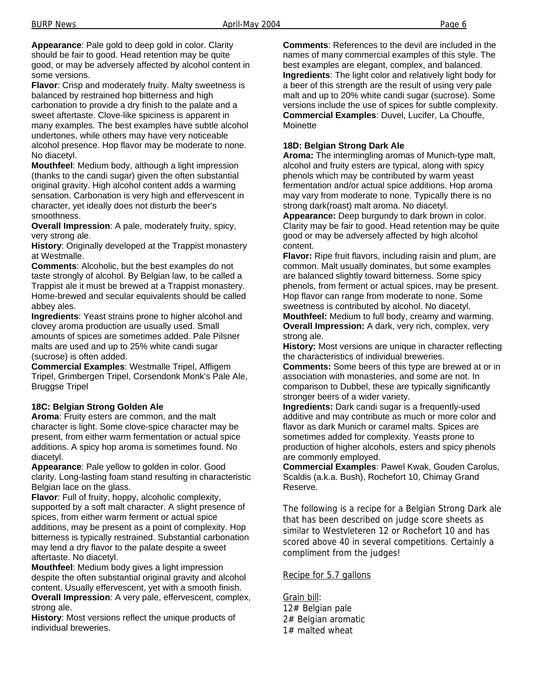**Appearance**: Pale gold to deep gold in color. Clarity should be fair to good. Head retention may be quite good, or may be adversely affected by alcohol content in some versions.

**Flavor**: Crisp and moderately fruity. Malty sweetness is balanced by restrained hop bitterness and high carbonation to provide a dry finish to the palate and a sweet aftertaste. Clove-like spiciness is apparent in many examples. The best examples have subtle alcohol undertones, while others may have very noticeable alcohol presence. Hop flavor may be moderate to none. No diacetyl.

**Mouthfeel**: Medium body, although a light impression (thanks to the candi sugar) given the often substantial original gravity. High alcohol content adds a warming sensation. Carbonation is very high and effervescent in character, yet ideally does not disturb the beer's smoothness.

**Overall Impression**: A pale, moderately fruity, spicy, very strong ale.

**History**: Originally developed at the Trappist monastery at Westmalle.

**Comments**: Alcoholic, but the best examples do not taste strongly of alcohol. By Belgian law, to be called a Trappist ale it must be brewed at a Trappist monastery. Home-brewed and secular equivalents should be called abbey ales.

**Ingredients**: Yeast strains prone to higher alcohol and clovey aroma production are usually used. Small amounts of spices are sometimes added. Pale Pilsner malts are used and up to 25% white candi sugar (sucrose) is often added.

**Commercial Examples**: Westmalle Tripel, Affligem Tripel, Grimbergen Tripel, Corsendonk Monk's Pale Ale, Bruggse Tripel

#### **18C: Belgian Strong Golden Ale**

**Aroma**: Fruity esters are common, and the malt character is light. Some clove-spice character may be present, from either warm fermentation or actual spice additions. A spicy hop aroma is sometimes found. No diacetyl.

**Appearance**: Pale yellow to golden in color. Good clarity. Long-lasting foam stand resulting in characteristic Belgian lace on the glass.

**Flavor**: Full of fruity, hoppy, alcoholic complexity, supported by a soft malt character. A slight presence of spices, from either warm ferment or actual spice additions, may be present as a point of complexity. Hop bitterness is typically restrained. Substantial carbonation may lend a dry flavor to the palate despite a sweet aftertaste. No diacetyl.

**Mouthfeel**: Medium body gives a light impression despite the often substantial original gravity and alcohol content. Usually effervescent, yet with a smooth finish.

**Overall Impression**: A very pale, effervescent, complex, strong ale.

**History**: Most versions reflect the unique products of individual breweries.

**Comments**: References to the devil are included in the names of many commercial examples of this style. The best examples are elegant, complex, and balanced. **Ingredients**: The light color and relatively light body for a beer of this strength are the result of using very pale malt and up to 20% white candi sugar (sucrose). Some versions include the use of spices for subtle complexity. **Commercial Examples**: Duvel, Lucifer, La Chouffe, **Moinette** 

#### **18D: Belgian Strong Dark Ale**

**Aroma:** The intermingling aromas of Munich-type malt, alcohol and fruity esters are typical, along with spicy phenols which may be contributed by warm yeast fermentation and/or actual spice additions. Hop aroma may vary from moderate to none. Typically there is no strong dark(roast) malt aroma. No diacetyl.

**Appearance:** Deep burgundy to dark brown in color. Clarity may be fair to good. Head retention may be quite good or may be adversely affected by high alcohol content.

**Flavor:** Ripe fruit flavors, including raisin and plum, are common. Malt usually dominates, but some examples are balanced slightly toward bitterness. Some spicy phenols, from ferment or actual spices, may be present. Hop flavor can range from moderate to none. Some sweetness is contributed by alcohol. No diacetyl. **Mouthfeel:** Medium to full body, creamy and warming.

**Overall Impression:** A dark, very rich, complex, very strong ale.

**History:** Most versions are unique in character reflecting the characteristics of individual breweries.

**Comments:** Some beers of this type are brewed at or in association with monasteries, and some are not. In comparison to Dubbel, these are typically significantly stronger beers of a wider variety.

**Ingredients:** Dark candi sugar is a frequently-used additive and may contribute as much or more color and flavor as dark Munich or caramel malts. Spices are sometimes added for complexity. Yeasts prone to production of higher alcohols, esters and spicy phenols are commonly employed.

**Commercial Examples**: Pawel Kwak, Gouden Carolus, Scaldis (a.k.a. Bush), Rochefort 10, Chimay Grand Reserve.

The following is a recipe for a Belgian Strong Dark ale that has been described on judge score sheets as similar to Westvleteren 12 or Rochefort 10 and has scored above 40 in several competitions. Certainly a compliment from the judges!

#### Recipe for 5.7 gallons

Grain bill: 12# Belgian pale 2# Belgian aromatic 1# malted wheat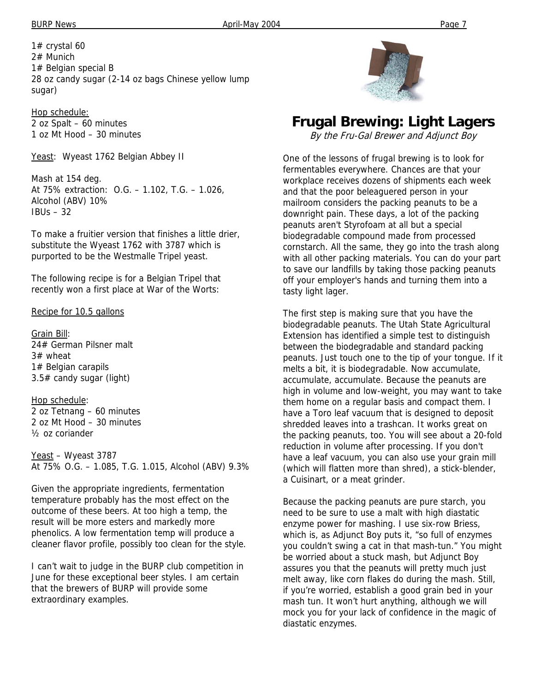1# crystal 60 2# Munich 1# Belgian special B 28 oz candy sugar (2-14 oz bags Chinese yellow lump sugar)

Hop schedule: 2 oz Spalt – 60 minutes 1 oz Mt Hood – 30 minutes

Yeast: Wyeast 1762 Belgian Abbey II

Mash at 154 deg. At 75% extraction: O.G. – 1.102, T.G. – 1.026, Alcohol (ABV) 10%  $IBUs - 32$ 

To make a fruitier version that finishes a little drier, substitute the Wyeast 1762 with 3787 which is purported to be the Westmalle Tripel yeast.

The following recipe is for a Belgian Tripel that recently won a first place at War of the Worts:

Recipe for 10.5 gallons

Grain Bill: 24# German Pilsner malt 3# wheat 1# Belgian carapils 3.5# candy sugar (light)

Hop schedule: 2 oz Tetnang – 60 minutes 2 oz Mt Hood – 30 minutes ½ oz coriander

Yeast – Wyeast 3787 At 75% O.G. – 1.085, T.G. 1.015, Alcohol (ABV) 9.3%

Given the appropriate ingredients, fermentation temperature probably has the most effect on the outcome of these beers. At too high a temp, the result will be more esters and markedly more phenolics. A low fermentation temp will produce a cleaner flavor profile, possibly too clean for the style.

I can't wait to judge in the BURP club competition in June for these exceptional beer styles. I am certain that the brewers of BURP will provide some extraordinary examples.



### **Frugal Brewing: Light Lagers**

By the Fru-Gal Brewer and Adjunct Boy

One of the lessons of frugal brewing is to look for fermentables everywhere. Chances are that your workplace receives dozens of shipments each week and that the poor beleaguered person in your mailroom considers the packing peanuts to be a downright pain. These days, a lot of the packing peanuts aren't Styrofoam at all but a special biodegradable compound made from processed cornstarch. All the same, they go into the trash along with all other packing materials. You can do your part to save our landfills by taking those packing peanuts off your employer's hands and turning them into a tasty light lager.

The first step is making sure that you have the biodegradable peanuts. The Utah State Agricultural Extension has identified a simple test to distinguish between the biodegradable and standard packing peanuts. Just touch one to the tip of your tongue. If it melts a bit, it is biodegradable. Now accumulate, accumulate, accumulate. Because the peanuts are high in volume and low-weight, you may want to take them home on a regular basis and compact them. I have a Toro leaf vacuum that is designed to deposit shredded leaves into a trashcan. It works great on the packing peanuts, too. You will see about a 20-fold reduction in volume after processing. If you don't have a leaf vacuum, you can also use your grain mill (which will flatten more than shred), a stick-blender, a Cuisinart, or a meat grinder.

Because the packing peanuts are pure starch, you need to be sure to use a malt with high diastatic enzyme power for mashing. I use six-row Briess, which is, as Adjunct Boy puts it, "so full of enzymes you couldn't swing a cat in that mash-tun." You might be worried about a stuck mash, but Adjunct Boy assures you that the peanuts will pretty much just melt away, like corn flakes do during the mash. Still, if you're worried, establish a good grain bed in your mash tun. It won't hurt anything, although we will mock you for your lack of confidence in the magic of diastatic enzymes.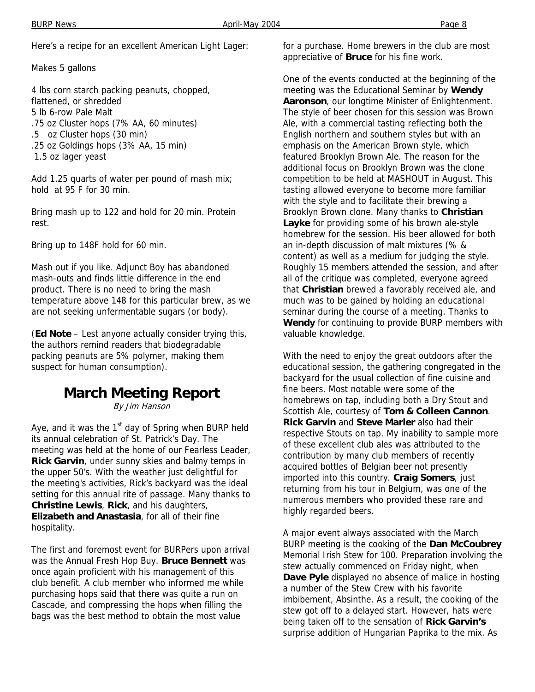BURP News **April-May 2004 Page 8** 

Here's a recipe for an excellent American Light Lager:

Makes 5 gallons

4 lbs corn starch packing peanuts, chopped, flattened, or shredded 5 lb 6-row Pale Malt .75 oz Cluster hops (7% AA, 60 minutes) .5 oz Cluster hops (30 min) .25 oz Goldings hops (3% AA, 15 min) 1.5 oz lager yeast

Add 1.25 quarts of water per pound of mash mix; hold at 95 F for 30 min.

Bring mash up to 122 and hold for 20 min. Protein rest.

Bring up to 148F hold for 60 min.

Mash out if you like. Adjunct Boy has abandoned mash-outs and finds little difference in the end product. There is no need to bring the mash temperature above 148 for this particular brew, as we are not seeking unfermentable sugars (or body).

(**Ed Note** – Lest anyone actually consider trying this, the authors remind readers that biodegradable packing peanuts are 5% polymer, making them suspect for human consumption).

### **March Meeting Report**

By Jim Hanson

Aye, and it was the  $1<sup>st</sup>$  day of Spring when BURP held its annual celebration of St. Patrick's Day. The meeting was held at the home of our Fearless Leader, **Rick Garvin**, under sunny skies and balmy temps in the upper 50's. With the weather just delightful for the meeting's activities, Rick's backyard was the ideal setting for this annual rite of passage. Many thanks to **Christine Lewis**, **Rick**, and his daughters, **Elizabeth and Anastasia**, for all of their fine hospitality.

The first and foremost event for BURPers upon arrival was the Annual Fresh Hop Buy. **Bruce Bennett** was once again proficient with his management of this club benefit. A club member who informed me while purchasing hops said that there was quite a run on Cascade, and compressing the hops when filling the bags was the best method to obtain the most value

for a purchase. Home brewers in the club are most appreciative of **Bruce** for his fine work.

One of the events conducted at the beginning of the meeting was the Educational Seminar by **Wendy Aaronson**, our longtime Minister of Enlightenment. The style of beer chosen for this session was Brown Ale, with a commercial tasting reflecting both the English northern and southern styles but with an emphasis on the American Brown style, which featured Brooklyn Brown Ale. The reason for the additional focus on Brooklyn Brown was the clone competition to be held at MASHOUT in August. This tasting allowed everyone to become more familiar with the style and to facilitate their brewing a Brooklyn Brown clone. Many thanks to **Christian Layke** for providing some of his brown ale-style homebrew for the session. His beer allowed for both an in-depth discussion of malt mixtures (% & content) as well as a medium for judging the style. Roughly 15 members attended the session, and after all of the critique was completed, everyone agreed that **Christian** brewed a favorably received ale, and much was to be gained by holding an educational seminar during the course of a meeting. Thanks to **Wendy** for continuing to provide BURP members with valuable knowledge.

With the need to enjoy the great outdoors after the educational session, the gathering congregated in the backyard for the usual collection of fine cuisine and fine beers. Most notable were some of the homebrews on tap, including both a Dry Stout and Scottish Ale, courtesy of **Tom & Colleen Cannon**. **Rick Garvin** and **Steve Marler** also had their respective Stouts on tap. My inability to sample more of these excellent club ales was attributed to the contribution by many club members of recently acquired bottles of Belgian beer not presently imported into this country. **Craig Somers**, just returning from his tour in Belgium, was one of the numerous members who provided these rare and highly regarded beers.

A major event always associated with the March BURP meeting is the cooking of the **Dan McCoubrey**  Memorial Irish Stew for 100. Preparation involving the stew actually commenced on Friday night, when **Dave Pyle** displayed no absence of malice in hosting a number of the Stew Crew with his favorite imbibement, Absinthe. As a result, the cooking of the stew got off to a delayed start. However, hats were being taken off to the sensation of **Rick Garvin's** surprise addition of Hungarian Paprika to the mix. As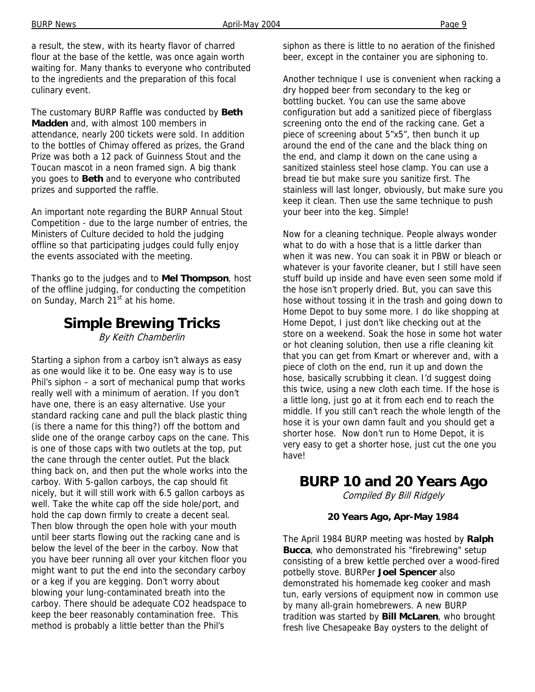a result, the stew, with its hearty flavor of charred flour at the base of the kettle, was once again worth waiting for. Many thanks to everyone who contributed to the ingredients and the preparation of this focal culinary event.

The customary BURP Raffle was conducted by **Beth Madden** and, with almost 100 members in attendance, nearly 200 tickets were sold. In addition to the bottles of Chimay offered as prizes, the Grand Prize was both a 12 pack of Guinness Stout and the Toucan mascot in a neon framed sign. A big thank you goes to **Beth** and to everyone who contributed prizes and supported the raffle.

An important note regarding the BURP Annual Stout Competition - due to the large number of entries, the Ministers of Culture decided to hold the judging offline so that participating judges could fully enjoy the events associated with the meeting.

Thanks go to the judges and to **Mel Thompson**, host of the offline judging, for conducting the competition on Sunday, March 21<sup>st</sup> at his home.

## **Simple Brewing Tricks**

By Keith Chamberlin

Starting a siphon from a carboy isn't always as easy as one would like it to be. One easy way is to use Phil's siphon – a sort of mechanical pump that works really well with a minimum of aeration. If you don't have one, there is an easy alternative. Use your standard racking cane and pull the black plastic thing (is there a name for this thing?) off the bottom and slide one of the orange carboy caps on the cane. This is one of those caps with two outlets at the top, put the cane through the center outlet. Put the black thing back on, and then put the whole works into the carboy. With 5-gallon carboys, the cap should fit nicely, but it will still work with 6.5 gallon carboys as well. Take the white cap off the side hole/port, and hold the cap down firmly to create a decent seal. Then blow through the open hole with your mouth until beer starts flowing out the racking cane and is below the level of the beer in the carboy. Now that you have beer running all over your kitchen floor you might want to put the end into the secondary carboy or a keg if you are kegging. Don't worry about blowing your lung-contaminated breath into the carboy. There should be adequate CO2 headspace to keep the beer reasonably contamination free. This method is probably a little better than the Phil's

siphon as there is little to no aeration of the finished beer, except in the container you are siphoning to.

Another technique I use is convenient when racking a dry hopped beer from secondary to the keg or bottling bucket. You can use the same above configuration but add a sanitized piece of fiberglass screening onto the end of the racking cane. Get a piece of screening about 5"x5", then bunch it up around the end of the cane and the black thing on the end, and clamp it down on the cane using a sanitized stainless steel hose clamp. You can use a bread tie but make sure you sanitize first. The stainless will last longer, obviously, but make sure you keep it clean. Then use the same technique to push your beer into the keg. Simple!

Now for a cleaning technique. People always wonder what to do with a hose that is a little darker than when it was new. You can soak it in PBW or bleach or whatever is your favorite cleaner, but I still have seen stuff build up inside and have even seen some mold if the hose isn't properly dried. But, you can save this hose without tossing it in the trash and going down to Home Depot to buy some more. I do like shopping at Home Depot, I just don't like checking out at the store on a weekend. Soak the hose in some hot water or hot cleaning solution, then use a rifle cleaning kit that you can get from Kmart or wherever and, with a piece of cloth on the end, run it up and down the hose, basically scrubbing it clean. I'd suggest doing this twice, using a new cloth each time. If the hose is a little long, just go at it from each end to reach the middle. If you still can't reach the whole length of the hose it is your own damn fault and you should get a shorter hose. Now don't run to Home Depot, it is very easy to get a shorter hose, just cut the one you have!

### **BURP 10 and 20 Years Ago**

Compiled By Bill Ridgely

#### **20 Years Ago, Apr-May 1984**

The April 1984 BURP meeting was hosted by **Ralph Bucca**, who demonstrated his "firebrewing" setup consisting of a brew kettle perched over a wood-fired potbelly stove. BURPer **Joel Spencer** also demonstrated his homemade keg cooker and mash tun, early versions of equipment now in common use by many all-grain homebrewers. A new BURP tradition was started by **Bill McLaren**, who brought fresh live Chesapeake Bay oysters to the delight of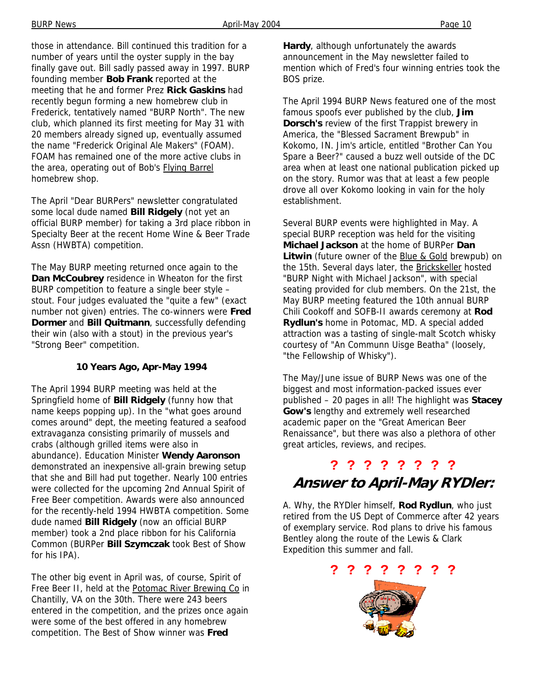those in attendance. Bill continued this tradition for a number of years until the oyster supply in the bay finally gave out. Bill sadly passed away in 1997. BURP founding member **Bob Frank** reported at the meeting that he and former Prez **Rick Gaskins** had recently begun forming a new homebrew club in Frederick, tentatively named "BURP North". The new club, which planned its first meeting for May 31 with 20 members already signed up, eventually assumed the name "Frederick Original Ale Makers" (FOAM). FOAM has remained one of the more active clubs in the area, operating out of Bob's Flying Barrel homebrew shop.

The April "Dear BURPers" newsletter congratulated some local dude named **Bill Ridgely** (not yet an official BURP member) for taking a 3rd place ribbon in Specialty Beer at the recent Home Wine & Beer Trade Assn (HWBTA) competition.

The May BURP meeting returned once again to the **Dan McCoubrey** residence in Wheaton for the first BURP competition to feature a single beer style – stout. Four judges evaluated the "quite a few" (exact number not given) entries. The co-winners were **Fred Dormer** and **Bill Quitmann**, successfully defending their win (also with a stout) in the previous year's "Strong Beer" competition.

#### **10 Years Ago, Apr-May 1994**

The April 1994 BURP meeting was held at the Springfield home of **Bill Ridgely** (funny how that name keeps popping up). In the "what goes around comes around" dept, the meeting featured a seafood extravaganza consisting primarily of mussels and crabs (although grilled items were also in abundance). Education Minister **Wendy Aaronson** demonstrated an inexpensive all-grain brewing setup that she and Bill had put together. Nearly 100 entries were collected for the upcoming 2nd Annual Spirit of Free Beer competition. Awards were also announced for the recently-held 1994 HWBTA competition. Some dude named **Bill Ridgely** (now an official BURP member) took a 2nd place ribbon for his California Common (BURPer **Bill Szymczak** took Best of Show for his IPA).

The other big event in April was, of course, Spirit of Free Beer II, held at the Potomac River Brewing Co in Chantilly, VA on the 30th. There were 243 beers entered in the competition, and the prizes once again were some of the best offered in any homebrew competition. The Best of Show winner was **Fred** 

**Hardy**, although unfortunately the awards announcement in the May newsletter failed to mention which of Fred's four winning entries took the BOS prize.

The April 1994 BURP News featured one of the most famous spoofs ever published by the club, **Jim Dorsch's** review of the first Trappist brewery in America, the "Blessed Sacrament Brewpub" in Kokomo, IN. Jim's article, entitled "Brother Can You Spare a Beer?" caused a buzz well outside of the DC area when at least one national publication picked up on the story. Rumor was that at least a few people drove all over Kokomo looking in vain for the holy establishment.

Several BURP events were highlighted in May. A special BURP reception was held for the visiting **Michael Jackson** at the home of BURPer **Dan Litwin** (future owner of the Blue & Gold brewpub) on the 15th. Several days later, the Brickskeller hosted "BURP Night with Michael Jackson", with special seating provided for club members. On the 21st, the May BURP meeting featured the 10th annual BURP Chili Cookoff and SOFB-II awards ceremony at **Rod Rydlun's** home in Potomac, MD. A special added attraction was a tasting of single-malt Scotch whisky courtesy of "An Communn Uisge Beatha" (loosely, "the Fellowship of Whisky").

The May/June issue of BURP News was one of the biggest and most information-packed issues ever published – 20 pages in all! The highlight was **Stacey Gow's** lengthy and extremely well researched academic paper on the "Great American Beer Renaissance", but there was also a plethora of other great articles, reviews, and recipes.

### **? ? ? ? ? ? ? ? Answer to April-May RYDler:**

A. Why, the RYDler himself, **Rod Rydlun**, who just retired from the US Dept of Commerce after 42 years of exemplary service. Rod plans to drive his famous Bentley along the route of the Lewis & Clark Expedition this summer and fall.

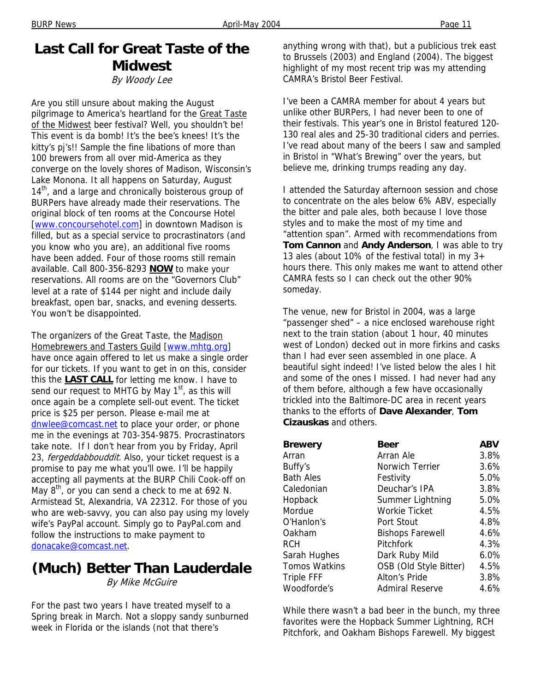## **Last Call for Great Taste of the Midwest**

By Woody Lee

Are you still unsure about making the August pilgrimage to America's heartland for the Great Taste of the Midwest beer festival? Well, you shouldn't be! This event is da bomb! It's the bee's knees! It's the kitty's pj's!! Sample the fine libations of more than 100 brewers from all over mid-America as they converge on the lovely shores of Madison, Wisconsin's Lake Monona. It all happens on Saturday, August  $14<sup>th</sup>$ , and a large and chronically boisterous group of BURPers have already made their reservations. The original block of ten rooms at the Concourse Hotel [www.concoursehotel.com] in downtown Madison is filled, but as a special service to procrastinators (and you know who you are), an additional five rooms have been added. Four of those rooms still remain available. Call 800-356-8293 **NOW** to make your reservations. All rooms are on the "Governors Club" level at a rate of \$144 per night and include daily breakfast, open bar, snacks, and evening desserts. You won't be disappointed.

The organizers of the Great Taste, the Madison Homebrewers and Tasters Guild [www.mhtg.org] have once again offered to let us make a single order for our tickets. If you want to get in on this, consider this the **LAST CALL** for letting me know. I have to send our request to MHTG by May  $1<sup>st</sup>$ , as this will once again be a complete sell-out event. The ticket price is \$25 per person. Please e-mail me at dnwlee@comcast.net to place your order, or phone me in the evenings at 703-354-9875. Procrastinators take note. If I don't hear from you by Friday, April 23, fergeddabbouddit. Also, your ticket request is a promise to pay me what you'll owe. I'll be happily accepting all payments at the BURP Chili Cook-off on May  $8^{th}$ , or you can send a check to me at 692 N. Armistead St, Alexandria, VA 22312. For those of you who are web-savvy, you can also pay using my lovely wife's PayPal account. Simply go to PayPal.com and follow the instructions to make payment to donacake@comcast.net.

#### **(Much) Better Than Lauderdale**  By Mike McGuire

For the past two years I have treated myself to a Spring break in March. Not a sloppy sandy sunburned week in Florida or the islands (not that there's

anything wrong with that), but a publicious trek east to Brussels (2003) and England (2004). The biggest highlight of my most recent trip was my attending CAMRA's Bristol Beer Festival.

I've been a CAMRA member for about 4 years but unlike other BURPers, I had never been to one of their festivals. This year's one in Bristol featured 120- 130 real ales and 25-30 traditional ciders and perries. I've read about many of the beers I saw and sampled in Bristol in "What's Brewing" over the years, but believe me, drinking trumps reading any day.

I attended the Saturday afternoon session and chose to concentrate on the ales below 6% ABV, especially the bitter and pale ales, both because I love those styles and to make the most of my time and "attention span". Armed with recommendations from **Tom Cannon** and **Andy Anderson**, I was able to try 13 ales (about 10% of the festival total) in my  $3+$ hours there. This only makes me want to attend other CAMRA fests so I can check out the other 90% someday.

The venue, new for Bristol in 2004, was a large "passenger shed" – a nice enclosed warehouse right next to the train station (about 1 hour, 40 minutes west of London) decked out in more firkins and casks than I had ever seen assembled in one place. A beautiful sight indeed! I've listed below the ales I hit and some of the ones I missed. I had never had any of them before, although a few have occasionally trickled into the Baltimore-DC area in recent years thanks to the efforts of **Dave Alexander**, **Tom Cizauskas** and others.

| <b>Brewery</b>       | Beer                    | <b>ABV</b> |
|----------------------|-------------------------|------------|
| Arran                | Arran Ale               | 3.8%       |
| Buffy's              | Norwich Terrier         | 3.6%       |
| <b>Bath Ales</b>     | Festivity               | 5.0%       |
| Caledonian           | Deuchar's IPA           | 3.8%       |
| Hopback              | Summer Lightning        | 5.0%       |
| Mordue               | Workie Ticket           | 4.5%       |
| O'Hanlon's           | Port Stout              | 4.8%       |
| Oakham               | <b>Bishops Farewell</b> | 4.6%       |
| <b>RCH</b>           | Pitchfork               | 4.3%       |
| Sarah Hughes         | Dark Ruby Mild          | $6.0\%$    |
| <b>Tomos Watkins</b> | OSB (Old Style Bitter)  | 4.5%       |
| <b>Triple FFF</b>    | Alton's Pride           | 3.8%       |
| Woodforde's          | Admiral Reserve         | 4.6%       |

While there wasn't a bad beer in the bunch, my three favorites were the Hopback Summer Lightning, RCH Pitchfork, and Oakham Bishops Farewell. My biggest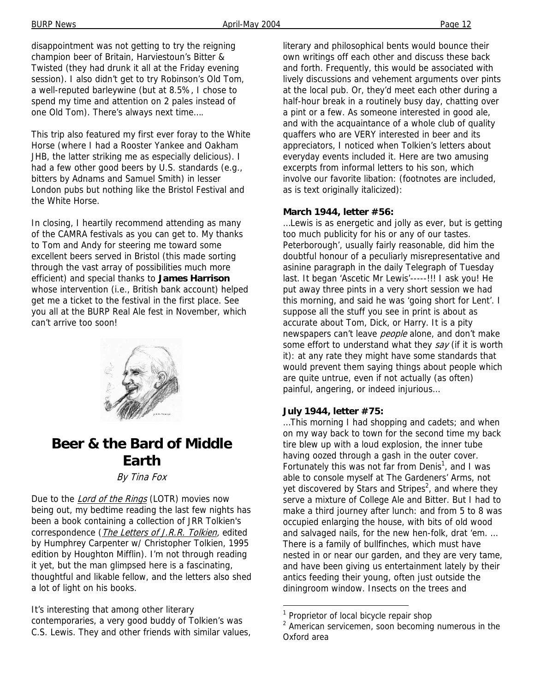disappointment was not getting to try the reigning champion beer of Britain, Harviestoun's Bitter & Twisted (they had drunk it all at the Friday evening session). I also didn't get to try Robinson's Old Tom, a well-reputed barleywine (but at 8.5%, I chose to spend my time and attention on 2 pales instead of one Old Tom). There's always next time….

This trip also featured my first ever foray to the White Horse (where I had a Rooster Yankee and Oakham JHB, the latter striking me as especially delicious). I had a few other good beers by U.S. standards (e.g., bitters by Adnams and Samuel Smith) in lesser London pubs but nothing like the Bristol Festival and the White Horse.

In closing, I heartily recommend attending as many of the CAMRA festivals as you can get to. My thanks to Tom and Andy for steering me toward some excellent beers served in Bristol (this made sorting through the vast array of possibilities much more efficient) and special thanks to **James Harrison** whose intervention (i.e., British bank account) helped get me a ticket to the festival in the first place. See you all at the BURP Real Ale fest in November, which can't arrive too soon!



### **Beer & the Bard of Middle Earth**

By Tina Fox

Due to the *Lord of the Rings* (LOTR) movies now being out, my bedtime reading the last few nights has been a book containing a collection of JRR Tolkien's correspondence (*The Letters of J.R.R. Tolkien*, edited by Humphrey Carpenter w/ Christopher Tolkien, 1995 edition by Houghton Mifflin). I'm not through reading it yet, but the man glimpsed here is a fascinating, thoughtful and likable fellow, and the letters also shed a lot of light on his books.

It's interesting that among other literary contemporaries, a very good buddy of Tolkien's was C.S. Lewis. They and other friends with similar values, literary and philosophical bents would bounce their own writings off each other and discuss these back and forth. Frequently, this would be associated with lively discussions and vehement arguments over pints at the local pub. Or, they'd meet each other during a half-hour break in a routinely busy day, chatting over a pint or a few. As someone interested in good ale, and with the acquaintance of a whole club of quality quaffers who are VERY interested in beer and its appreciators, I noticed when Tolkien's letters about everyday events included it. Here are two amusing excerpts from informal letters to his son, which involve our favorite libation: (footnotes are included, as is text originally italicized):

#### **March 1944, letter #56:**

…Lewis is as energetic and jolly as ever, but is getting too much publicity for his or any of our tastes. Peterborough', usually fairly reasonable, did him the doubtful honour of a peculiarly misrepresentative and asinine paragraph in the daily Telegraph of Tuesday last. It began 'Ascetic Mr Lewis'-----!!! I ask you! He put away three pints in a very short session we had this morning, and said he was 'going short for Lent'. I suppose all the stuff you see in print is about as accurate about Tom, Dick, or Harry. It is a pity newspapers can't leave *people* alone, and don't make some effort to understand what they say (if it is worth it): at any rate they might have some standards that would prevent them saying things about people which are quite untrue, even if not actually (as often) painful, angering, or indeed injurious…

#### **July 1944, letter #75:**

…This morning I had shopping and cadets; and when on my way back to town for the second time my back tire blew up with a loud explosion, the inner tube having oozed through a gash in the outer cover. Fortunately this was not far from Denis<sup>1</sup>, and I was able to console myself at The Gardeners' Arms, not yet discovered by Stars and Stripes<sup>2</sup>, and where they serve a mixture of College Ale and Bitter. But I had to make a third journey after lunch: and from 5 to 8 was occupied enlarging the house, with bits of old wood and salvaged nails, for the new hen-folk, drat 'em. … There is a family of bullfinches, which must have nested in or near our garden, and they are very tame, and have been giving us entertainment lately by their antics feeding their young, often just outside the diningroom window. Insects on the trees and

<sup>&</sup>lt;sup>1</sup> Proprietor of local bicycle repair shop

 $2$  American servicemen, soon becoming numerous in the Oxford area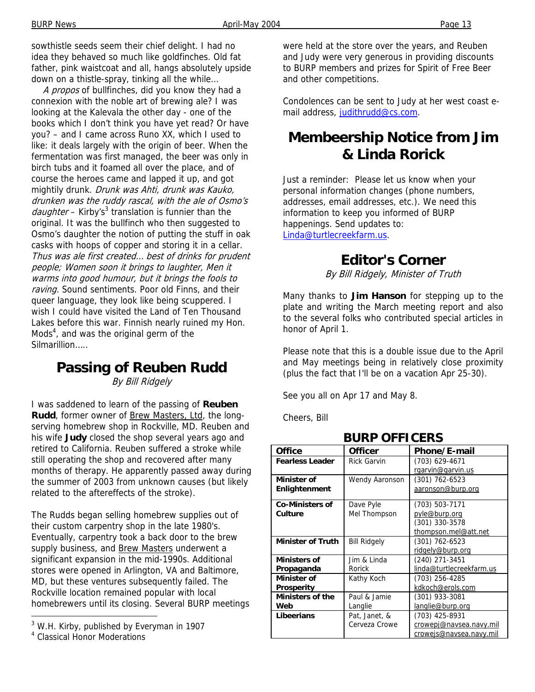BURP News **April-May 2004 Page 13** 

sowthistle seeds seem their chief delight. I had no idea they behaved so much like goldfinches. Old fat father, pink waistcoat and all, hangs absolutely upside down on a thistle-spray, tinking all the while…

A propos of bullfinches, did you know they had a connexion with the noble art of brewing ale? I was looking at the Kalevala the other day - one of the books which I don't think you have yet read? Or have you? – and I came across Runo XX, which I used to like: it deals largely with the origin of beer. When the fermentation was first managed, the beer was only in birch tubs and it foamed all over the place, and of course the heroes came and lapped it up, and got mightily drunk. Drunk was Ahti, drunk was Kauko, drunken was the ruddy rascal, with the ale of Osmo's daughter - Kirby's<sup>3</sup> translation is funnier than the original. It was the bullfinch who then suggested to Osmo's daughter the notion of putting the stuff in oak casks with hoops of copper and storing it in a cellar. Thus was ale first created… best of drinks for prudent people; Women soon it brings to laughter, Men it warms into good humour, but it brings the fools to raving. Sound sentiments. Poor old Finns, and their queer language, they look like being scuppered. I wish I could have visited the Land of Ten Thousand Lakes before this war. Finnish nearly ruined my Hon. Mods<sup>4</sup>, and was the original germ of the **Silmarillion** 

### **Passing of Reuben Rudd**

By Bill Ridgely

I was saddened to learn of the passing of **Reuben**  Rudd, former owner of **Brew Masters, Ltd**, the longserving homebrew shop in Rockville, MD. Reuben and his wife **Judy** closed the shop several years ago and retired to California. Reuben suffered a stroke while still operating the shop and recovered after many months of therapy. He apparently passed away during the summer of 2003 from unknown causes (but likely related to the aftereffects of the stroke).

The Rudds began selling homebrew supplies out of their custom carpentry shop in the late 1980's. Eventually, carpentry took a back door to the brew supply business, and Brew Masters underwent a significant expansion in the mid-1990s. Additional stores were opened in Arlington, VA and Baltimore, MD, but these ventures subsequently failed. The Rockville location remained popular with local homebrewers until its closing. Several BURP meetings

-

were held at the store over the years, and Reuben and Judy were very generous in providing discounts to BURP members and prizes for Spirit of Free Beer and other competitions.

Condolences can be sent to Judy at her west coast email address, judithrudd@cs.com.

### **Membeership Notice from Jim & Linda Rorick**

Just a reminder: Please let us know when your personal information changes (phone numbers, addresses, email addresses, etc.). We need this information to keep you informed of BURP happenings. Send updates to: Linda@turtlecreekfarm.us.

#### **Editor's Corner**

By Bill Ridgely, Minister of Truth

Many thanks to **Jim Hanson** for stepping up to the plate and writing the March meeting report and also to the several folks who contributed special articles in honor of April 1.

Please note that this is a double issue due to the April and May meetings being in relatively close proximity (plus the fact that I'll be on a vacation Apr 25-30).

See you all on Apr 17 and May 8.

Cheers, Bill

| <b>Office</b>            | <b>Officer</b>      | Phone/E-mail             |  |  |  |
|--------------------------|---------------------|--------------------------|--|--|--|
| <b>Fearless Leader</b>   | <b>Rick Garvin</b>  | (703) 629-4671           |  |  |  |
|                          |                     | rgarvin@garvin.us        |  |  |  |
| <b>Minister of</b>       | Wendy Aaronson      | (301) 762-6523           |  |  |  |
| Enlightenment            |                     | aaronson@burp.org        |  |  |  |
| <b>Co-Ministers of</b>   | Dave Pyle           | (703) 503-7171           |  |  |  |
| Culture                  | Mel Thompson        | pyle@burp.org            |  |  |  |
|                          |                     | (301) 330-3578           |  |  |  |
|                          |                     | thompson.mel@att.net     |  |  |  |
| <b>Minister of Truth</b> | <b>Bill Ridgely</b> | $(301) 762 - 6523$       |  |  |  |
|                          |                     | ridgely@burp.org         |  |  |  |
| Ministers of             | Jim & Linda         | (240) 271-3451           |  |  |  |
| Propaganda               | Rorick              | linda@turtlecreekfarm.us |  |  |  |
| <b>Minister of</b>       | Kathy Koch          | (703) 256-4285           |  |  |  |
| <b>Prosperity</b>        |                     | kdkoch@erols.com         |  |  |  |
| Ministers of the         | Paul & Jamie        | (301) 933-3081           |  |  |  |
| Web                      | Langlie             | langlie@burp.org         |  |  |  |
| Libeerians               | Pat, Janet, &       | (703) 425-8931           |  |  |  |
|                          | Cerveza Crowe       | crowepj@navsea.navy.mil  |  |  |  |
|                          |                     | crowejs@navsea.navy.mil  |  |  |  |

**BURP OFFICERS** 

<sup>&</sup>lt;sup>3</sup> W.H. Kirby, published by Everyman in 1907

<sup>4</sup> Classical Honor Moderations